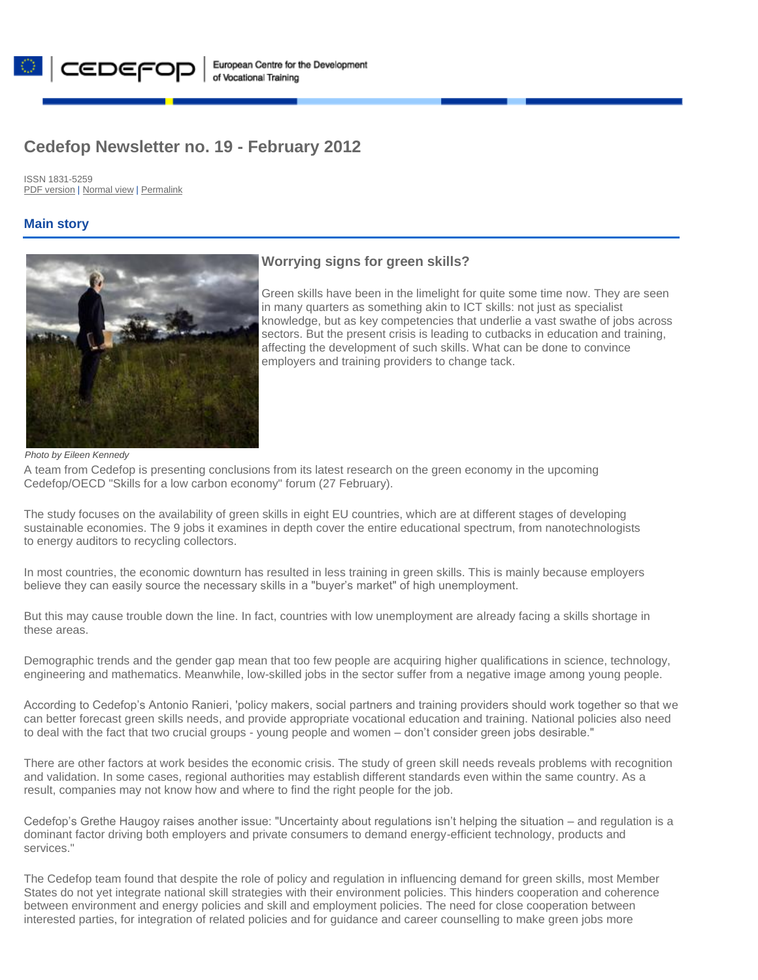

# **Cedefop Newsletter no. 19 - February 2012**

ISSN 1831-5259 [PDF version](http://www.cedefop.europa.eu/en/newsletter/Cedefop_Newsletter_no._19_-_February_2012.pdf) [| Normal view](http://www.cedefop.europa.eu/en/newsletter/19549.htm) [| Permalink](http://www.cedefop.europa.eu/en/newsletter/19549.htm)

| CEDEFO

### **Main story**



### **[Worrying signs for green skills?](http://www.cedefop.europa.eu/en/articles/19542.aspx)**

Green skills have been in the limelight for quite some time now. They are seen in many quarters as something akin to ICT skills: not just as specialist knowledge, but as key competencies that underlie a vast swathe of jobs across sectors. But the present crisis is leading to cutbacks in education and training, affecting the development of such skills. What can be done to convince employers and training providers to change tack.

#### *Photo by Eileen Kennedy*

A team from Cedefop is presenting conclusions from its latest research on the green economy in the upcoming Cedefop/OECD "Skills for a low carbon economy" forum (27 February).

The study focuses on the availability of green skills in eight EU countries, which are at different stages of developing sustainable economies. The 9 jobs it examines in depth cover the entire educational spectrum, from nanotechnologists to energy auditors to recycling collectors.

In most countries, the economic downturn has resulted in less training in green skills. This is mainly because employers believe they can easily source the necessary skills in a "buyer's market" of high unemployment.

But this may cause trouble down the line. In fact, countries with low unemployment are already facing a skills shortage in these areas.

Demographic trends and the gender gap mean that too few people are acquiring higher qualifications in science, technology, engineering and mathematics. Meanwhile, low-skilled jobs in the sector suffer from a negative image among young people.

According to Cedefop's Antonio Ranieri, 'policy makers, social partners and training providers should work together so that we can better forecast green skills needs, and provide appropriate vocational education and training. National policies also need to deal with the fact that two crucial groups - young people and women – don't consider green jobs desirable."

There are other factors at work besides the economic crisis. The study of green skill needs reveals problems with recognition and validation. In some cases, regional authorities may establish different standards even within the same country. As a result, companies may not know how and where to find the right people for the job.

Cedefop's Grethe Haugoy raises another issue: "Uncertainty about regulations isn't helping the situation – and regulation is a dominant factor driving both employers and private consumers to demand energy-efficient technology, products and services."

The Cedefop team found that despite the role of policy and regulation in influencing demand for green skills, most Member States do not yet integrate national skill strategies with their environment policies. This hinders cooperation and coherence between environment and energy policies and skill and employment policies. The need for close cooperation between interested parties, for integration of related policies and for guidance and career counselling to make green jobs more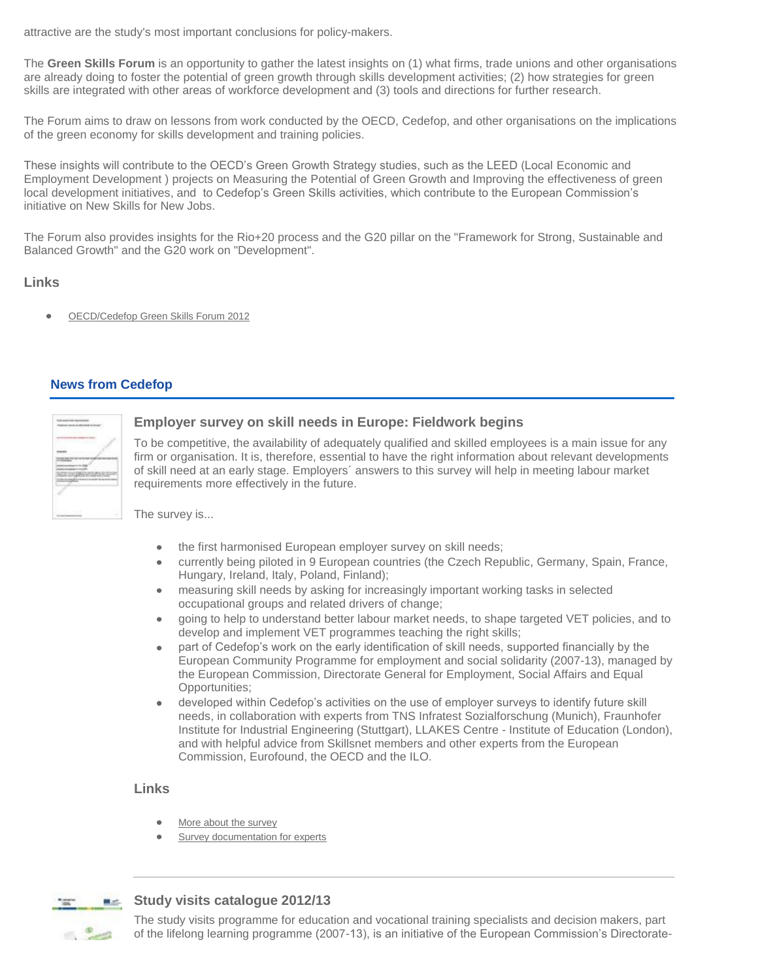attractive are the study's most important conclusions for policy-makers.

The **Green Skills Forum** is an opportunity to gather the latest insights on (1) what firms, trade unions and other organisations are already doing to foster the potential of green growth through skills development activities; (2) how strategies for green skills are integrated with other areas of workforce development and (3) tools and directions for further research.

The Forum aims to draw on lessons from work conducted by the OECD, Cedefop, and other organisations on the implications of the green economy for skills development and training policies.

These insights will contribute to the OECD's Green Growth Strategy studies, such as the LEED (Local Economic and Employment Development ) projects on Measuring the Potential of Green Growth and Improving the effectiveness of green local development initiatives, and to Cedefop's Green Skills activities, which contribute to the European Commission's initiative on New Skills for New Jobs.

The Forum also provides insights for the Rio+20 process and the G20 pillar on the "Framework for Strong, Sustainable and Balanced Growth" and the G20 work on "Development".

### **Links**

[OECD/Cedefop Green Skills Forum 2012](https://events.cedefop.europa.eu/GreenSkills-Forum2012/) 

### **News from Cedefop**



#### **[Employer survey on skill needs in Europe: Fieldwork begins](http://www.cedefop.europa.eu/en/news/19433.aspx)**

To be competitive, the availability of adequately qualified and skilled employees is a main issue for any firm or organisation. It is, therefore, essential to have the right information about relevant developments of skill need at an early stage. Employers´ answers to this survey will help in meeting labour market requirements more effectively in the future.

The survey is...

- the first harmonised European employer survey on skill needs;  $\bullet$
- currently being piloted in 9 European countries (the Czech Republic, Germany, Spain, France,  $\bullet$ Hungary, Ireland, Italy, Poland, Finland);
- measuring skill needs by asking for increasingly important working tasks in selected  $\bullet$ occupational groups and related drivers of change;
- going to help to understand better labour market needs, to shape targeted VET policies, and to  $\bullet$ develop and implement VET programmes teaching the right skills;
- part of Cedefop's work on the early identification of skill needs, supported financially by the  $\bullet$ European Community Programme for employment and social solidarity (2007-13), managed by the European Commission, Directorate General for Employment, Social Affairs and Equal Opportunities;
- developed within Cedefop's activities on the use of employer surveys to identify future skill  $\bullet$ needs, in collaboration with experts from TNS Infratest Sozialforschung (Munich), Fraunhofer Institute for Industrial Engineering (Stuttgart), LLAKES Centre - Institute of Education (London), and with helpful advice from Skillsnet members and other experts from the European Commission, Eurofound, the OECD and the ILO.

### **Links**

- [More about the survey](http://www.cedefop.europa.eu/EN/about-cedefop/projects/employers-surveys/employers-surveys.aspx)   $\bullet$
- [Survey documentation for experts](http://www.cedefop.europa.eu/EN/about-cedefop/projects/employers-surveys/members-only.aspx)



#### **[Study visits catalogue 2012/13](http://www.cedefop.europa.eu/en/articles/19526.aspx)**

The study visits programme for education and vocational training specialists and decision makers, part of the lifelong learning programme (2007-13), is an initiative of the European Commission's Directorate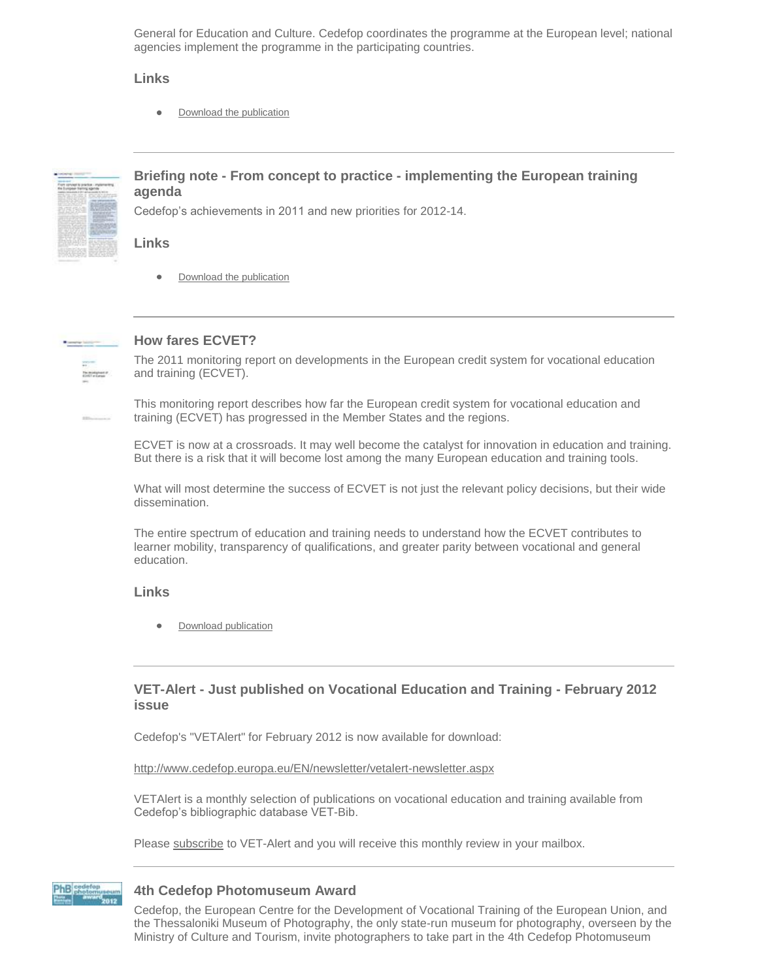General for Education and Culture. Cedefop coordinates the programme at the European level; national agencies implement the programme in the participating countries.

#### **Links**

[Download the publication](http://www.cedefop.europa.eu/en/publications/19373.aspx)  $\bullet$ 



### **Briefing note - From concept to practice - [implementing the European training](http://www.cedefop.europa.eu/en/articles/19528.aspx)  [agenda](http://www.cedefop.europa.eu/en/articles/19528.aspx)**

Cedefop's achievements in 2011 and new priorities for 2012-14.

#### **Links**

 $\bullet$ [Download the publication](http://www.cedefop.europa.eu/en/publications/19368.aspx)



# **[How fares ECVET?](http://www.cedefop.europa.eu/en/articles/19540.aspx)**

The 2011 monitoring report on developments in the European credit system for vocational education and training (ECVET).

This monitoring report describes how far the European credit system for vocational education and training (ECVET) has progressed in the Member States and the regions.

ECVET is now at a crossroads. It may well become the catalyst for innovation in education and training. But there is a risk that it will become lost among the many European education and training tools.

What will most determine the success of ECVET is not just the relevant policy decisions, but their wide dissemination.

The entire spectrum of education and training needs to understand how the ECVET contributes to learner mobility, transparency of qualifications, and greater parity between vocational and general education.

#### **Links**

[Download publication](http://www.cedefop.europa.eu/en/publications/19523.aspx)

### **VET-Alert - [Just published on Vocational Education and Training -](http://www.cedefop.europa.eu/en/news/19413.aspx) February 2012 [issue](http://www.cedefop.europa.eu/en/news/19413.aspx)**

Cedefop's "VETAlert" for February 2012 is now available for download:

<http://www.cedefop.europa.eu/EN/newsletter/vetalert-newsletter.aspx>

VETAlert is a monthly selection of publications on vocational education and training available from Cedefop's bibliographic database VET-Bib.

Please [subscribe](http://www.cedefop.europa.eu/EN/my-account.aspx?acq_newsletter=1) to VET-Alert and you will receive this monthly review in your mailbox.



#### **[4th Cedefop Photomuseum Award](http://www.cedefop.europa.eu/en/news/19130.aspx)**

Cedefop, the European Centre for the Development of Vocational Training of the European Union, and the Thessaloniki Museum of Photography, the only state-run museum for photography, overseen by the Ministry of Culture and Tourism, invite photographers to take part in the 4th Cedefop Photomuseum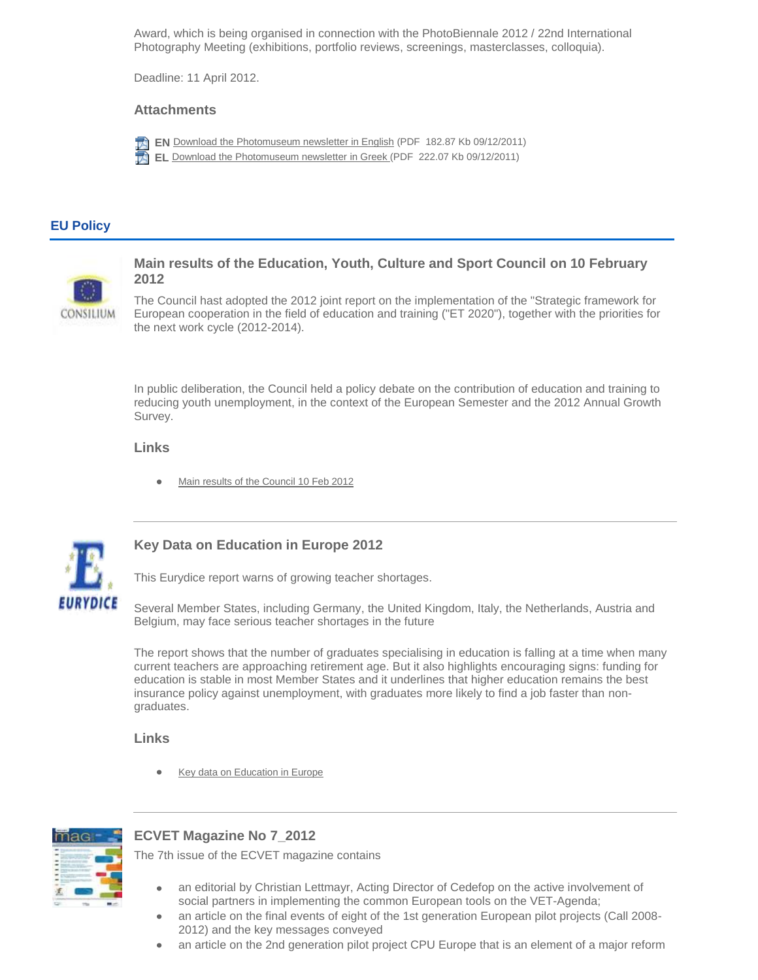Award, which is being organised in connection with the PhotoBiennale 2012 / 22nd International Photography Meeting (exhibitions, portfolio reviews, screenings, masterclasses, colloquia).

Deadline: 11 April 2012.

#### **Attachments**



**EN** [Download the Photomuseum newsletter in English](http://www.cedefop.europa.eu/download-manager.aspx?id=19132&lang=en) (PDF 182.87 Kb 09/12/2011) **EL** [Download the Photomuseum newsletter](http://www.cedefop.europa.eu/download-manager.aspx?id=19131&lang=en) in Greek (PDF 222.07 Kb 09/12/2011)

### **EU Policy**



**[Main results of the Education, Youth, Culture and Sport Council on 10 February](http://www.cedefop.europa.eu/en/news/19506.aspx)  [2012](http://www.cedefop.europa.eu/en/news/19506.aspx)**

The Council hast adopted the 2012 joint report on the implementation of the "Strategic framework for European cooperation in the field of education and training ("ET 2020"), together with the priorities for the next work cycle (2012-2014).

In public deliberation, the Council held a policy debate on the contribution of education and training to reducing youth unemployment, in the context of the European Semester and the 2012 Annual Growth Survey.

#### **Links**

[Main results of the Council 10 Feb 2012](http://www.consilium.europa.eu/uedocs/cms_data/docs/pressdata/en/educ/127945.pdf) 



# **[Key Data on Education in Europe 2012](http://www.cedefop.europa.eu/en/news/19510.aspx)**

This Eurydice report warns of growing teacher shortages.

Several Member States, including Germany, the United Kingdom, Italy, the Netherlands, Austria and Belgium, may face serious teacher shortages in the future

The report shows that the number of graduates specialising in education is falling at a time when many current teachers are approaching retirement age. But it also highlights encouraging signs: funding for education is stable in most Member States and it underlines that higher education remains the best insurance policy against unemployment, with graduates more likely to find a job faster than nongraduates.

#### **Links**

[Key data on Education in Europe](http://eacea.ec.europa.eu/education/eurydice/documents/key_data_series/134EN.pdf) 



# **[ECVET Magazine No 7\\_2012](http://www.cedefop.europa.eu/en/news/19451.aspx)**

The 7th issue of the ECVET magazine contains

- an editorial by Christian Lettmayr, Acting Director of Cedefop on the active involvement of social partners in implementing the common European tools on the VET-Agenda;
- an article on the final events of eight of the 1st generation European pilot projects (Call 2008-  $\bullet$ 2012) and the key messages conveyed
- an article on the 2nd generation pilot project CPU Europe that is an element of a major reform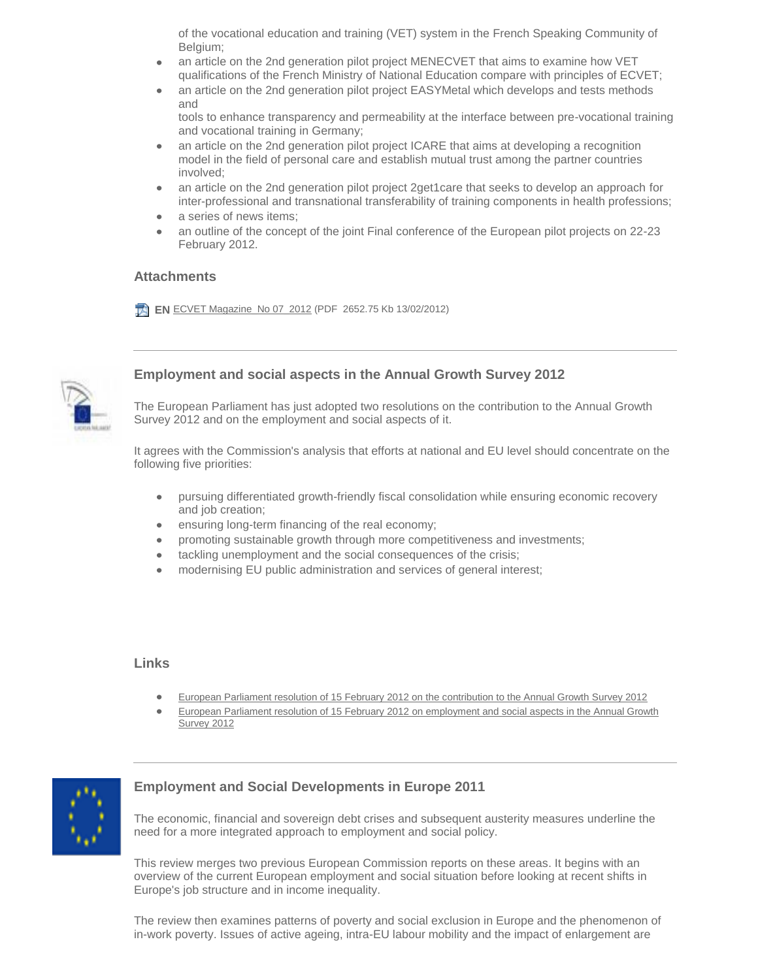of the vocational education and training (VET) system in the French Speaking Community of Belgium;

- an article on the 2nd generation pilot project MENECVET that aims to examine how VET qualifications of the French Ministry of National Education compare with principles of ECVET;
- an article on the 2nd generation pilot project EASYMetal which develops and tests methods  $\bullet$ and
	- tools to enhance transparency and permeability at the interface between pre-vocational training and vocational training in Germany;
- an article on the 2nd generation pilot project ICARE that aims at developing a recognition  $\bullet$ model in the field of personal care and establish mutual trust among the partner countries involved;
- $\bullet$ an article on the 2nd generation pilot project 2get1care that seeks to develop an approach for inter-professional and transnational transferability of training components in health professions;
- a series of news items;  $\bullet$
- an outline of the concept of the joint Final conference of the European pilot projects on 22-23 February 2012.

### **Attachments**

**EN [ECVET Magazine\\_No 07\\_2012](http://www.cedefop.europa.eu/download-manager.aspx?id=19450&lang=en) (PDF 2652.75 Kb 13/02/2012)** 



### **[Employment and social aspects in the Annual Growth Survey 2012](http://www.cedefop.europa.eu/en/news/19516.aspx)**

The European Parliament has just adopted two resolutions on the contribution to the Annual Growth Survey 2012 and on the employment and social aspects of it.

It agrees with the Commission's analysis that efforts at national and EU level should concentrate on the following five priorities:

- $\bullet$ pursuing differentiated growth-friendly fiscal consolidation while ensuring economic recovery and job creation;
- ensuring long-term financing of the real economy;  $\bullet$
- promoting sustainable growth through more competitiveness and investments;  $\bullet$
- tackling unemployment and the social consequences of the crisis;  $\bullet$
- modernising EU public administration and services of general interest;  $\bullet$

#### **Links**

 $\bullet$ 

- [European Parliament resolution of 15 February 2012 on the contribution to the Annual Growth Survey 2012](http://www.europarl.europa.eu/sides/getDoc.do?pubRef=-//EP//TEXT+TA+P7-TA-2012-0048+0+DOC+XML+V0//EN&language=EN)   $\bullet$ 
	- European Parliament resolution of 15 February 2012 [on employment and social aspects in the Annual Growth](http://www.europarl.europa.eu/sides/getDoc.do?pubRef=-//EP//TEXT+TA+P7-TA-2012-0047+0+DOC+XML+V0//EN&language=EN)  Survey 2012



### **[Employment and Social Developments in Europe 2011](http://www.cedefop.europa.eu/en/news/19519.aspx)**

The economic, financial and sovereign debt crises and subsequent austerity measures underline the need for a more integrated approach to employment and social policy.

This review merges two previous European Commission reports on these areas. It begins with an overview of the current European employment and social situation before looking at recent shifts in Europe's job structure and in income inequality.

The review then examines patterns of poverty and social exclusion in Europe and the phenomenon of in-work poverty. Issues of active ageing, intra-EU labour mobility and the impact of enlargement are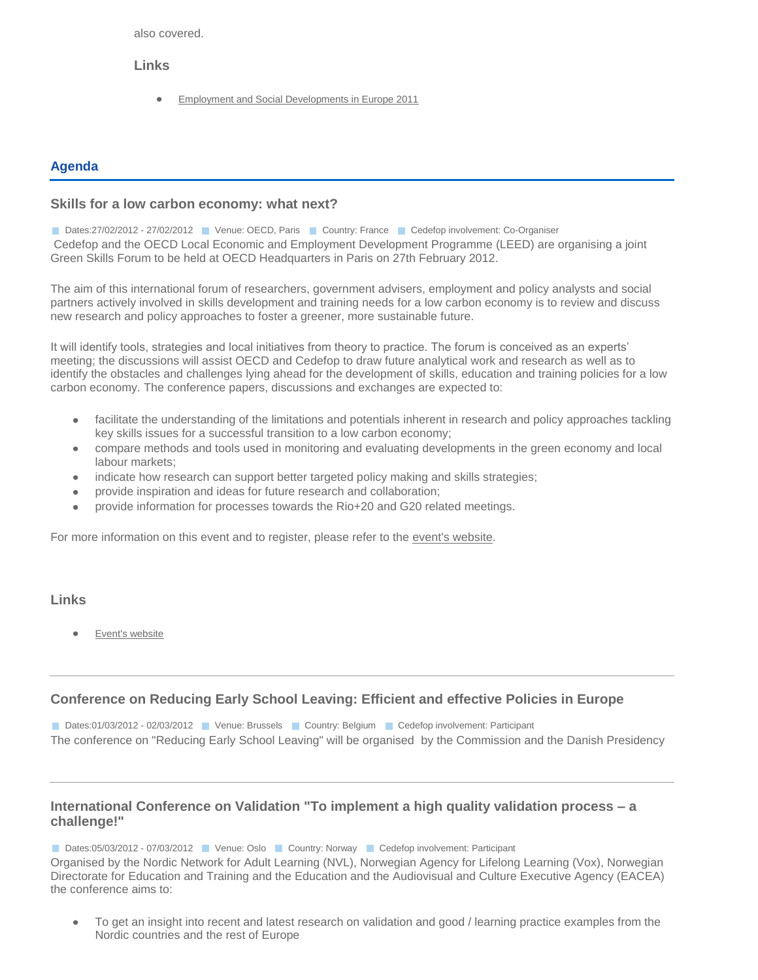also covered.

#### **Links**

 $\bullet$ [Employment and Social Developments in Europe 2011](http://ec.europa.eu/social/BlobServlet?docId=7294&langId=en) 

### **Agenda**

### **[Skills for a low carbon economy: what next?](http://www.cedefop.europa.eu/en/events/19148.aspx)**

Dates:27/02/2012 - 27/02/2012 Venue: OECD, Paris Country: France Cedefop involvement: Co-Organiser Cedefop and the OECD Local Economic and Employment Development Programme (LEED) are organising a joint Green Skills Forum to be held at OECD Headquarters in Paris on 27th February 2012.

The aim of this international forum of researchers, government advisers, employment and policy analysts and social partners actively involved in skills development and training needs for a low carbon economy is to review and discuss new research and policy approaches to foster a greener, more sustainable future.

It will identify tools, strategies and local initiatives from theory to practice. The forum is conceived as an experts' meeting; the discussions will assist OECD and Cedefop to draw future analytical work and research as well as to identify the obstacles and challenges lying ahead for the development of skills, education and training policies for a low carbon economy. The conference papers, discussions and exchanges are expected to:

- $\bullet$ facilitate the understanding of the limitations and potentials inherent in research and policy approaches tackling key skills issues for a successful transition to a low carbon economy;
- compare methods and tools used in monitoring and evaluating developments in the green economy and local  $\bullet$ labour markets;
- indicate how research can support better targeted policy making and skills strategies;
- provide inspiration and ideas for future research and collaboration;  $\bullet$
- provide information for processes towards the Rio+20 and G20 related meetings.

For more information on this event and to register, please refer to the [event's website.](https://events.cedefop.europa.eu/GreenSkills-Forum2012/)

### **Links**

[Event's website](https://events.cedefop.europa.eu/GreenSkills-Forum2012/)

### **[Conference on Reducing Early School Leaving: Efficient and effective Policies in Europe](http://www.cedefop.europa.eu/en/events/19282.aspx)**

Dates:01/03/2012 - 02/03/2012 Venue: Brussels Country: Belgium Cedefop involvement: Participant The conference on "Reducing Early School Leaving" will be organised by the Commission and the Danish Presidency

### **[International Conference on Validation "To implement a high quality validation process –](http://www.cedefop.europa.eu/en/events/19376.aspx) a [challenge!"](http://www.cedefop.europa.eu/en/events/19376.aspx)**

Dates:05/03/2012 - 07/03/2012 Venue: Oslo Country: Norway Cedefop involvement: Participant

Organised by the Nordic Network for Adult Learning (NVL), Norwegian Agency for Lifelong Learning (Vox), Norwegian Directorate for Education and Training and the Education and the Audiovisual and Culture Executive Agency (EACEA) the conference aims to:

To get an insight into recent and latest research on validation and good / learning practice examples from the  $\bullet$ Nordic countries and the rest of Europe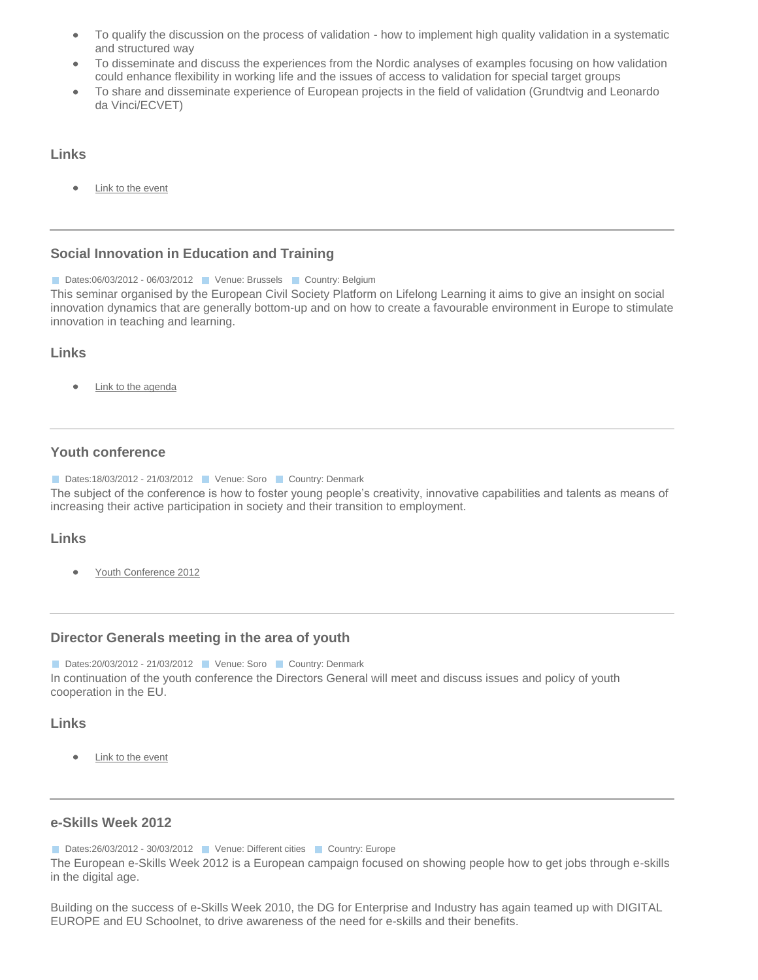- To qualify the discussion on the process of validation how to implement high quality validation in a systematic  $\bullet$ and structured way
- To disseminate and discuss the experiences from the Nordic analyses of examples focusing on how validation  $\bullet$ could enhance flexibility in working life and the issues of access to validation for special target groups
- To share and disseminate experience of European projects in the field of validation (Grundtvig and Leonardo  $\bullet$ da Vinci/ECVET)

#### **Links**

[Link to the event](http://www.nordvux.net/object/29343/event.htm)  $\bullet$ 

### **[Social Innovation in Education and Training](http://www.cedefop.europa.eu/en/events/19521.aspx)**

Dates:06/03/2012 - 06/03/2012 Venue: Brussels Venutry: Belgium This seminar organised by the European Civil Society Platform on Lifelong Learning it aims to give an insight on social innovation dynamics that are generally bottom-up and on how to create a favourable environment in Europe to stimulate innovation in teaching and learning.

### **Links**

[Link to the agenda](http://www.eucis-lll.eu/pages/images/stories/EUCIS-LLL-Innovation-Seminar.pdf)  $\bullet$ 

### **[Youth conference](http://www.cedefop.europa.eu/en/events/19278.aspx)**

Dates:18/03/2012 - 21/03/2012 Venue: Soro Country: Denmark

The subject of the conference is how to foster young people's creativity, innovative capabilities and talents as means of increasing their active participation in society and their transition to employment.

#### **Links**

[Youth Conference 2012](http://eu2012.dk/en/Meetings/Conferences/Mar/Ungdomskonference)

#### **[Director Generals meeting in the area of youth](http://www.cedefop.europa.eu/en/events/19283.aspx)**

Dates:20/03/2012 - 21/03/2012 Venue: Soro Country: Denmark In continuation of the youth conference the Directors General will meet and discuss issues and policy of youth cooperation in the EU.

### **Links**

[Link to the event](http://eu2012.dk/en/Meetings/Conferences/Mar/Generaldirektoermoede-paa-ungdomsomraadet)

### **[e-Skills Week 2012](http://www.cedefop.europa.eu/en/events/19328.aspx)**

```
Dates:26/03/2012 - 30/03/2012 Venue: Different cities Country: Europe
```
The European e-Skills Week 2012 is a European campaign focused on showing people how to get jobs through e-skills in the digital age.

Building on the success of e-Skills Week 2010, the DG for Enterprise and Industry has again teamed up with DIGITAL EUROPE and EU Schoolnet, to drive awareness of the need for e-skills and their benefits.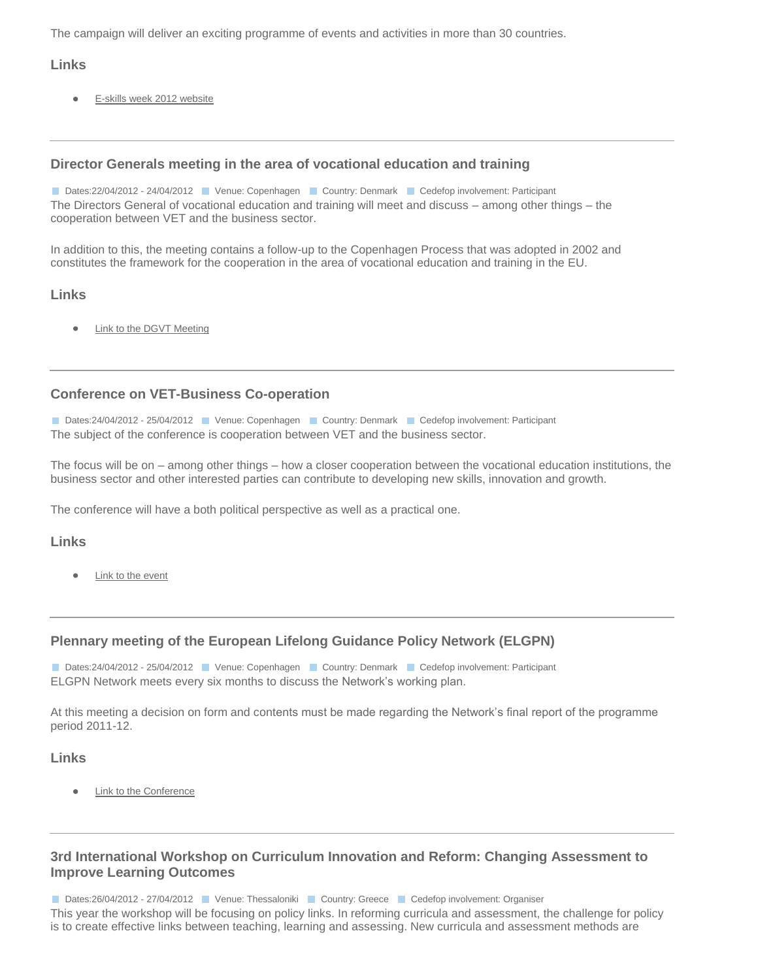The campaign will deliver an exciting programme of events and activities in more than 30 countries.

### **Links**

[E-skills week 2012 website](http://eskills-week.ec.europa.eu/web/guest/home)  $\bullet$ 

### **[Director Generals meeting in the area of vocational education and training](http://www.cedefop.europa.eu/en/events/19286.aspx)**

Dates:22/04/2012 - 24/04/2012 Venue: Copenhagen Country: Denmark Cedefop involvement: Participant The Directors General of vocational education and training will meet and discuss – among other things – the cooperation between VET and the business sector.

In addition to this, the meeting contains a follow-up to the Copenhagen Process that was adopted in 2002 and constitutes the framework for the cooperation in the area of vocational education and training in the EU.

### **Links**

 $\blacksquare$ [Link to the DGVT Meeting](http://eu2012.dk/en/Meetings/Conferences/Apr/Generaldirektoermoede-paa-erhvervsuddannelsesomraadet)

### **[Conference on VET-Business Co-operation](http://www.cedefop.europa.eu/en/events/19289.aspx)**

Dates:24/04/2012 - 25/04/2012 Venue: Copenhagen Country: Denmark Cedefop involvement: Participant The subject of the conference is cooperation between VET and the business sector.

The focus will be on – among other things – how a closer cooperation between the vocational education institutions, the business sector and other interested parties can contribute to developing new skills, innovation and growth.

The conference will have a both political perspective as well as a practical one.

#### **Links**

[Link to the event](http://eu2012.dk/en/Meetings/Conferences/Apr/Konference-om-erhvervsrettet-uddannelse)

### **[Plennary meeting of the European Lifelong Guidance Policy Network \(ELGPN\)](http://www.cedefop.europa.eu/en/events/19292.aspx)**

Dates:24/04/2012 - 25/04/2012 Venue: Copenhagen Country: Denmark Cedefop involvement: Participant ELGPN Network meets every six months to discuss the Network's working plan.

At this meeting a decision on form and contents must be made regarding the Network's final report of the programme period 2011-12.

#### **Links**

[Link to the Conference](http://eu2012.dk/en/Meetings/Conferences/Apr/Moede-i-netvaerket-European-Lifelong-Guidance-Policy-Network)

### **[3rd International Workshop on Curriculum Innovation and Reform: Changing Assessment to](http://www.cedefop.europa.eu/en/events/19351.aspx)  [Improve Learning Outcomes](http://www.cedefop.europa.eu/en/events/19351.aspx)**

Dates:26/04/2012 - 27/04/2012 **Country: Greece Ceta** Cedefop involvement: Organiser

This year the workshop will be focusing on policy links. In reforming curricula and assessment, the challenge for policy is to create effective links between teaching, learning and assessing. New curricula and assessment methods are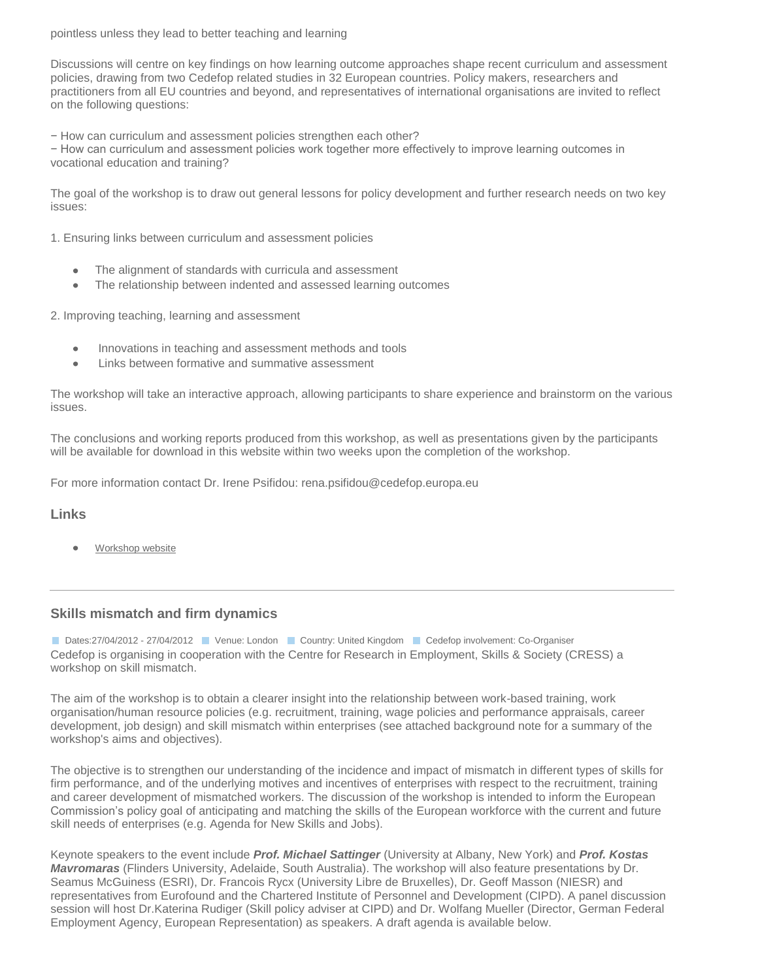#### pointless unless they lead to better teaching and learning

Discussions will centre on key findings on how learning outcome approaches shape recent curriculum and assessment policies, drawing from two Cedefop related studies in 32 European countries. Policy makers, researchers and practitioners from all EU countries and beyond, and representatives of international organisations are invited to reflect on the following questions:

− How can curriculum and assessment policies strengthen each other?

− How can curriculum and assessment policies work together more effectively to improve learning outcomes in vocational education and training?

The goal of the workshop is to draw out general lessons for policy development and further research needs on two key issues:

1. Ensuring links between curriculum and assessment policies

- The alignment of standards with curricula and assessment  $\bullet$
- The relationship between indented and assessed learning outcomes  $\bullet$

2. Improving teaching, learning and assessment

- Innovations in teaching and assessment methods and tools  $\bullet$
- Links between formative and summative assessment

The workshop will take an interactive approach, allowing participants to share experience and brainstorm on the various issues.

The conclusions and working reports produced from this workshop, as well as presentations given by the participants will be available for download in this website within two weeks upon the completion of the workshop.

For more information contact Dr. Irene Psifidou: rena.psifidou@cedefop.europa.eu

### **Links**

[Workshop website](http://events.cedefop.europa.eu/curriculum-innovation-2012/)

#### **[Skills mismatch and firm dynamics](http://www.cedefop.europa.eu/en/events/19151.aspx)**

Dates:27/04/2012 - 27/04/2012 **Dates:27/04/2012 - Venue: London Country: United Kingdom Cedefop involvement: Co-Organiser** Cedefop is organising in cooperation with the Centre for Research in Employment, Skills & Society (CRESS) a workshop on skill mismatch.

The aim of the workshop is to obtain a clearer insight into the relationship between work-based training, work organisation/human resource policies (e.g. recruitment, training, wage policies and performance appraisals, career development, job design) and skill mismatch within enterprises (see attached background note for a summary of the workshop's aims and objectives).

The objective is to strengthen our understanding of the incidence and impact of mismatch in different types of skills for firm performance, and of the underlying motives and incentives of enterprises with respect to the recruitment, training and career development of mismatched workers. The discussion of the workshop is intended to inform the European Commission's policy goal of anticipating and matching the skills of the European workforce with the current and future skill needs of enterprises (e.g. Agenda for New Skills and Jobs).

Keynote speakers to the event include *Prof. Michael Sattinger* (University at Albany, New York) and *Prof. Kostas Mavromaras* (Flinders University, Adelaide, South Australia). The workshop will also feature presentations by Dr. Seamus McGuiness (ESRI), Dr. Francois Rycx (University Libre de Bruxelles), Dr. Geoff Masson (NIESR) and representatives from Eurofound and the Chartered Institute of Personnel and Development (CIPD). A panel discussion session will host Dr.Katerina Rudiger (Skill policy adviser at CIPD) and Dr. Wolfang Mueller (Director, German Federal Employment Agency, European Representation) as speakers. A draft agenda is available below.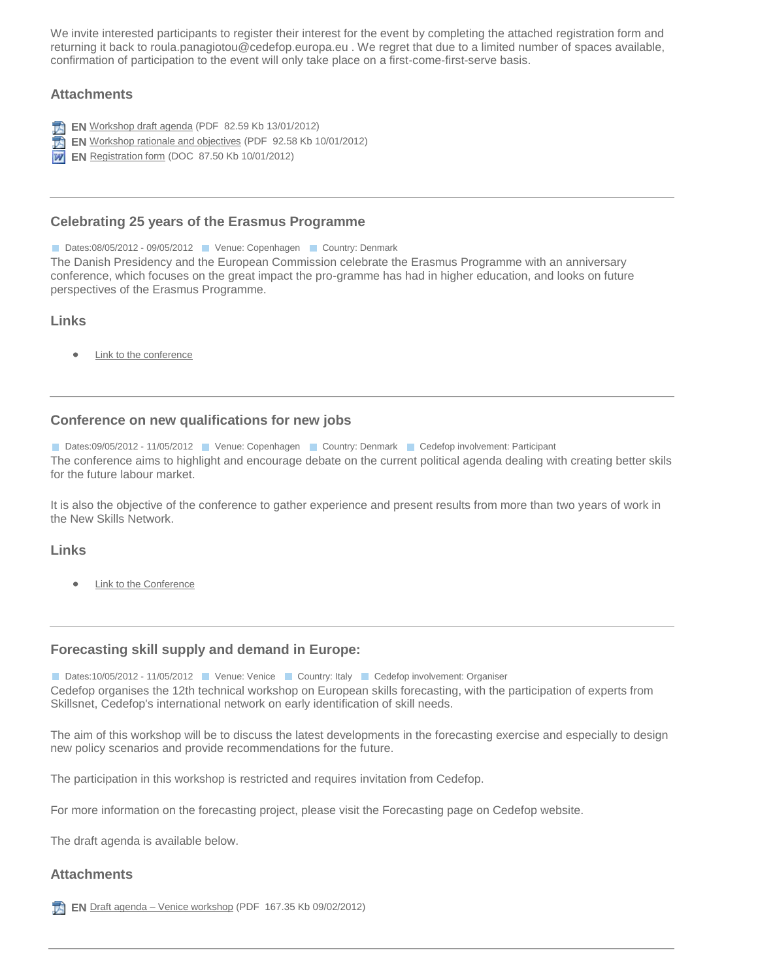We invite interested participants to register their interest for the event by completing the attached registration form and returning it back to roula.panagiotou@cedefop.europa.eu . We regret that due to a limited number of spaces available, confirmation of participation to the event will only take place on a first-come-first-serve basis.

### **Attachments**

- **EN** [Workshop draft agenda](http://www.cedefop.europa.eu/download-manager.aspx?id=19255&lang=en) (PDF 82.59 Kb 13/01/2012)
- **EN** [Workshop rationale and objectives](http://www.cedefop.europa.eu/download-manager.aspx?id=19241&lang=en) (PDF 92.58 Kb 10/01/2012)
- **W** EN [Registration form](http://www.cedefop.europa.eu/download-manager.aspx?id=19240&lang=en) (DOC 87.50 Kb 10/01/2012)

#### **[Celebrating 25 years of the Erasmus Programme](http://www.cedefop.europa.eu/en/events/19300.aspx)**

Dates:08/05/2012 - 09/05/2012 Venue: Copenhagen Venutry: Denmark

The Danish Presidency and the European Commission celebrate the Erasmus Programme with an anniversary conference, which focuses on the great impact the pro-gramme has had in higher education, and looks on future perspectives of the Erasmus Programme.

### **Links**

**[Link to the conference](http://eu2012.dk/en/Meetings/Conferences/Maj/Foerste-til-femtende/Erasmus-programmet-fejrer-25-aars-jubilaeum)**  $\bullet$ 

### **[Conference on new qualifications for new jobs](http://www.cedefop.europa.eu/en/events/19303.aspx)**

Dates:09/05/2012 - 11/05/2012 Venue: Copenhagen Country: Denmark Cedefop involvement: Participant The conference aims to highlight and encourage debate on the current political agenda dealing with creating better skils for the future labour market.

It is also the objective of the conference to gather experience and present results from more than two years of work in the New Skills Network.

#### **Links**

[Link to the Conference](http://eu2012.dk/en/Meetings/Conferences/Maj/Foerste-til-femtende/New-Skills-Event)

#### **[Forecasting skill supply and demand in Europe:](http://www.cedefop.europa.eu/en/events/19414.aspx)**

Dates:10/05/2012 - 11/05/2012 Venue: Venice Country: Italy Cedefop involvement: Organiser Cedefop organises the 12th technical workshop on European skills forecasting, with the participation of experts from Skillsnet, Cedefop's international network on early identification of skill needs.

The aim of this workshop will be to discuss the latest developments in the forecasting exercise and especially to design new policy scenarios and provide recommendations for the future.

The participation in this workshop is restricted and requires invitation from Cedefop.

For more information on the forecasting project, please visit the Forecasting page on Cedefop website.

The draft agenda is available below.

#### **Attachments**

**EN** Draft agenda – [Venice workshop](http://www.cedefop.europa.eu/download-manager.aspx?id=19416&lang=en) (PDF 167.35 Kb 09/02/2012)